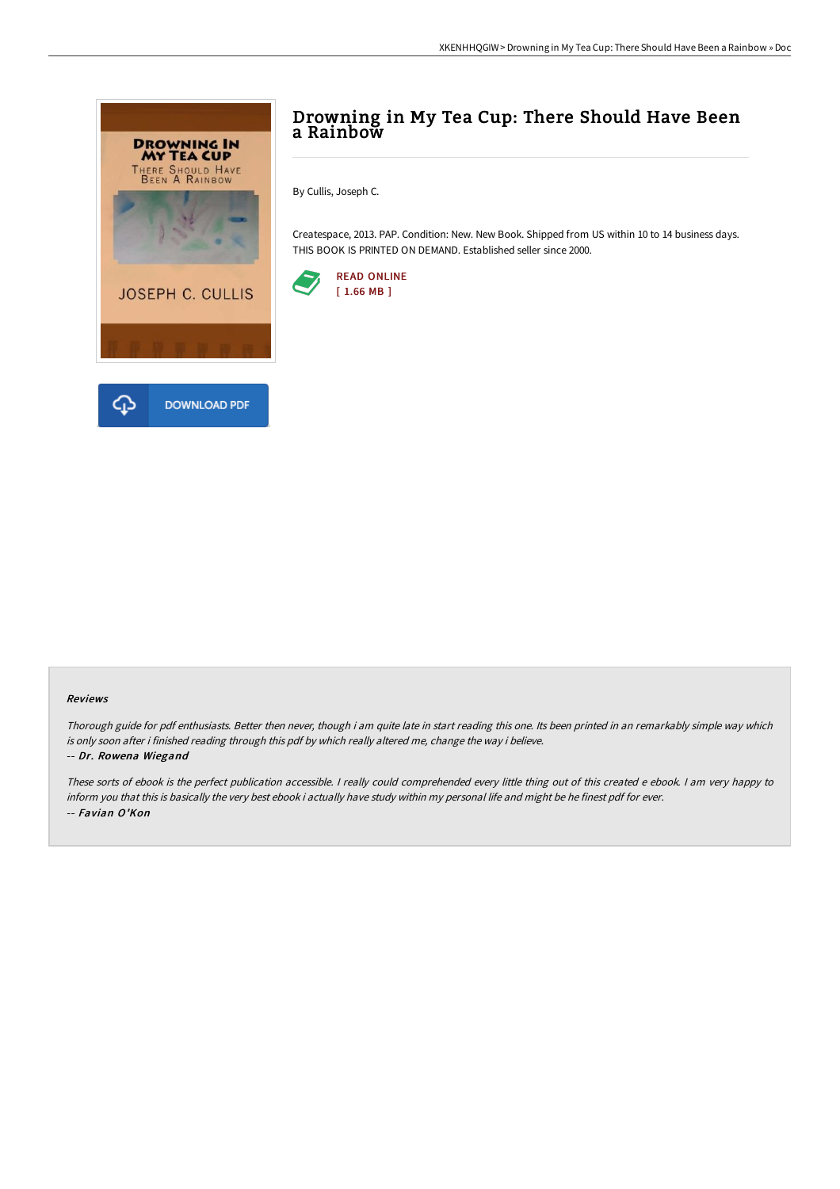

## Drowning in My Tea Cup: There Should Have Been a Rainbow

By Cullis, Joseph C.

Createspace, 2013. PAP. Condition: New. New Book. Shipped from US within 10 to 14 business days. THIS BOOK IS PRINTED ON DEMAND. Established seller since 2000.



## Reviews

Thorough guide for pdf enthusiasts. Better then never, though i am quite late in start reading this one. Its been printed in an remarkably simple way which is only soon after i finished reading through this pdf by which really altered me, change the way i believe.

## -- Dr. Rowena Wiegand

These sorts of ebook is the perfect publication accessible. <sup>I</sup> really could comprehended every little thing out of this created <sup>e</sup> ebook. <sup>I</sup> am very happy to inform you that this is basically the very best ebook i actually have study within my personal life and might be he finest pdf for ever. -- Favian O'Kon